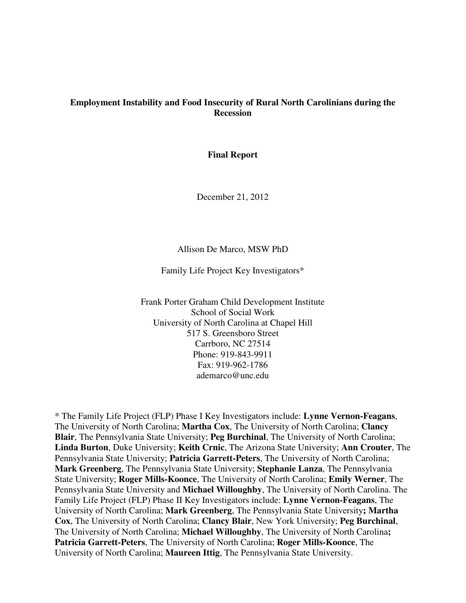## **Employment Instability and Food Insecurity of Rural North Carolinians during the Recession**

**Final Report** 

December 21, 2012

#### Allison De Marco, MSW PhD

Family Life Project Key Investigators\*

Frank Porter Graham Child Development Institute School of Social Work University of North Carolina at Chapel Hill 517 S. Greensboro Street Carrboro, NC 27514 Phone: 919-843-9911 Fax: 919-962-1786 ademarco@unc.edu

\* The Family Life Project (FLP) Phase I Key Investigators include: **Lynne Vernon-Feagans**, The University of North Carolina; **Martha Cox**, The University of North Carolina; **Clancy Blair**, The Pennsylvania State University; **Peg Burchinal**, The University of North Carolina; **Linda Burton**, Duke University; **Keith Crnic**, The Arizona State University; **Ann Crouter**, The Pennsylvania State University; **Patricia Garrett-Peters**, The University of North Carolina; **Mark Greenberg**, The Pennsylvania State University; **Stephanie Lanza**, The Pennsylvania State University; **Roger Mills-Koonce**, The University of North Carolina; **Emily Werner**, The Pennsylvania State University and **Michael Willoughby**, The University of North Carolina. The Family Life Project (FLP) Phase II Key Investigators include: **Lynne Vernon-Feagans**, The University of North Carolina; **Mark Greenberg**, The Pennsylvania State University**; Martha Cox**, The University of North Carolina; **Clancy Blair**, New York University; **Peg Burchinal**, The University of North Carolina; **Michael Willoughby**, The University of North Carolina**; Patricia Garrett-Peters**, The University of North Carolina; **Roger Mills-Koonce**, The University of North Carolina; **Maureen Ittig**, The Pennsylvania State University.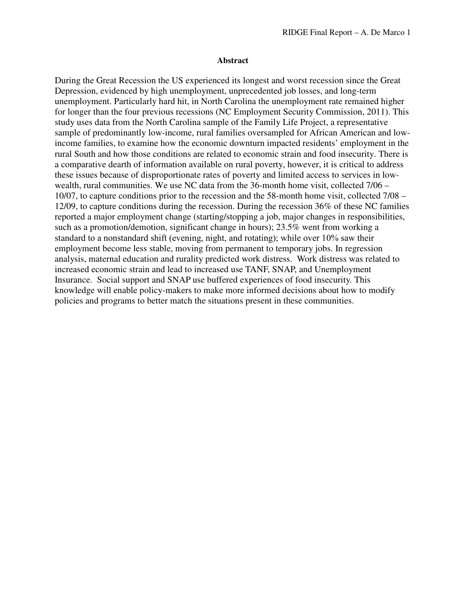#### **Abstract**

During the Great Recession the US experienced its longest and worst recession since the Great Depression, evidenced by high unemployment, unprecedented job losses, and long-term unemployment. Particularly hard hit, in North Carolina the unemployment rate remained higher for longer than the four previous recessions (NC Employment Security Commission, 2011). This study uses data from the North Carolina sample of the Family Life Project, a representative sample of predominantly low-income, rural families oversampled for African American and lowincome families, to examine how the economic downturn impacted residents' employment in the rural South and how those conditions are related to economic strain and food insecurity. There is a comparative dearth of information available on rural poverty, however, it is critical to address these issues because of disproportionate rates of poverty and limited access to services in lowwealth, rural communities. We use NC data from the 36-month home visit, collected 7/06 – 10/07, to capture conditions prior to the recession and the 58-month home visit, collected 7/08 – 12/09, to capture conditions during the recession. During the recession 36% of these NC families reported a major employment change (starting/stopping a job, major changes in responsibilities, such as a promotion/demotion, significant change in hours); 23.5% went from working a standard to a nonstandard shift (evening, night, and rotating); while over 10% saw their employment become less stable, moving from permanent to temporary jobs. In regression analysis, maternal education and rurality predicted work distress. Work distress was related to increased economic strain and lead to increased use TANF, SNAP, and Unemployment Insurance. Social support and SNAP use buffered experiences of food insecurity. This knowledge will enable policy-makers to make more informed decisions about how to modify policies and programs to better match the situations present in these communities.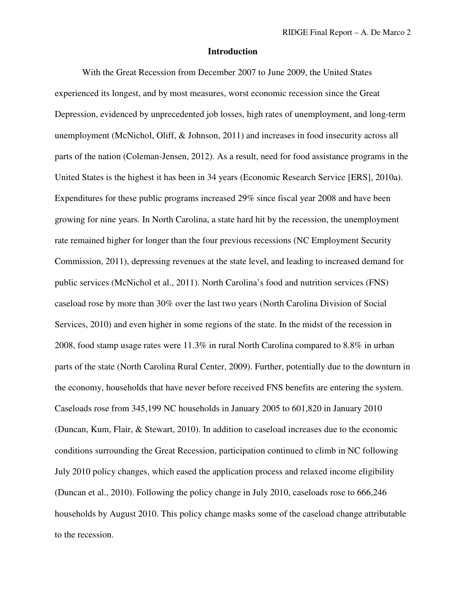### **Introduction**

With the Great Recession from December 2007 to June 2009, the United States experienced its longest, and by most measures, worst economic recession since the Great Depression, evidenced by unprecedented job losses, high rates of unemployment, and long-term unemployment (McNichol, Oliff, & Johnson, 2011) and increases in food insecurity across all parts of the nation (Coleman-Jensen, 2012). As a result, need for food assistance programs in the United States is the highest it has been in 34 years (Economic Research Service [ERS], 2010a). Expenditures for these public programs increased 29% since fiscal year 2008 and have been growing for nine years. In North Carolina, a state hard hit by the recession, the unemployment rate remained higher for longer than the four previous recessions (NC Employment Security Commission, 2011), depressing revenues at the state level, and leading to increased demand for public services (McNichol et al., 2011). North Carolina's food and nutrition services (FNS) caseload rose by more than 30% over the last two years (North Carolina Division of Social Services, 2010) and even higher in some regions of the state. In the midst of the recession in 2008, food stamp usage rates were 11.3% in rural North Carolina compared to 8.8% in urban parts of the state (North Carolina Rural Center, 2009). Further, potentially due to the downturn in the economy, households that have never before received FNS benefits are entering the system. Caseloads rose from 345,199 NC households in January 2005 to 601,820 in January 2010 (Duncan, Kum, Flair, & Stewart, 2010). In addition to caseload increases due to the economic conditions surrounding the Great Recession, participation continued to climb in NC following July 2010 policy changes, which eased the application process and relaxed income eligibility (Duncan et al., 2010). Following the policy change in July 2010, caseloads rose to 666,246 households by August 2010. This policy change masks some of the caseload change attributable to the recession.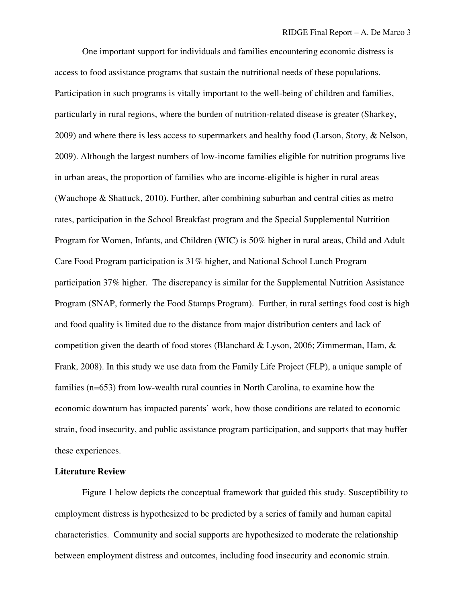One important support for individuals and families encountering economic distress is access to food assistance programs that sustain the nutritional needs of these populations. Participation in such programs is vitally important to the well-being of children and families, particularly in rural regions, where the burden of nutrition-related disease is greater (Sharkey, 2009) and where there is less access to supermarkets and healthy food (Larson, Story, & Nelson, 2009). Although the largest numbers of low-income families eligible for nutrition programs live in urban areas, the proportion of families who are income-eligible is higher in rural areas (Wauchope & Shattuck, 2010). Further, after combining suburban and central cities as metro rates, participation in the School Breakfast program and the Special Supplemental Nutrition Program for Women, Infants, and Children (WIC) is 50% higher in rural areas, Child and Adult Care Food Program participation is 31% higher, and National School Lunch Program participation 37% higher. The discrepancy is similar for the Supplemental Nutrition Assistance Program (SNAP, formerly the Food Stamps Program). Further, in rural settings food cost is high and food quality is limited due to the distance from major distribution centers and lack of competition given the dearth of food stores (Blanchard & Lyson, 2006; Zimmerman, Ham, & Frank, 2008). In this study we use data from the Family Life Project (FLP), a unique sample of families (n=653) from low-wealth rural counties in North Carolina, to examine how the economic downturn has impacted parents' work, how those conditions are related to economic strain, food insecurity, and public assistance program participation, and supports that may buffer these experiences.

### **Literature Review**

Figure 1 below depicts the conceptual framework that guided this study. Susceptibility to employment distress is hypothesized to be predicted by a series of family and human capital characteristics. Community and social supports are hypothesized to moderate the relationship between employment distress and outcomes, including food insecurity and economic strain.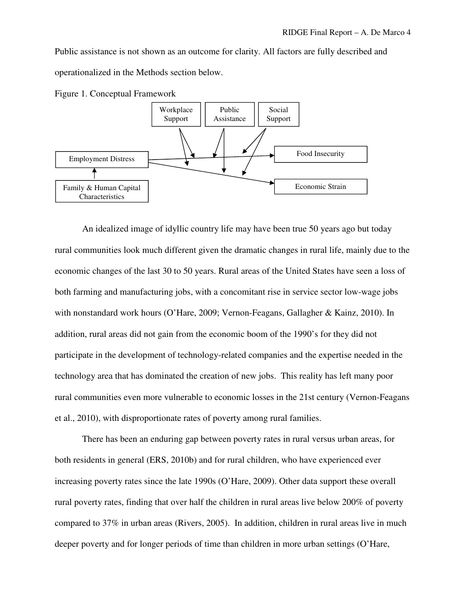Public assistance is not shown as an outcome for clarity. All factors are fully described and operationalized in the Methods section below.



Figure 1. Conceptual Framework

An idealized image of idyllic country life may have been true 50 years ago but today rural communities look much different given the dramatic changes in rural life, mainly due to the economic changes of the last 30 to 50 years. Rural areas of the United States have seen a loss of both farming and manufacturing jobs, with a concomitant rise in service sector low-wage jobs with nonstandard work hours (O'Hare, 2009; Vernon-Feagans, Gallagher & Kainz, 2010). In addition, rural areas did not gain from the economic boom of the 1990's for they did not participate in the development of technology-related companies and the expertise needed in the technology area that has dominated the creation of new jobs. This reality has left many poor rural communities even more vulnerable to economic losses in the 21st century (Vernon-Feagans et al., 2010), with disproportionate rates of poverty among rural families.

There has been an enduring gap between poverty rates in rural versus urban areas, for both residents in general (ERS, 2010b) and for rural children, who have experienced ever increasing poverty rates since the late 1990s (O'Hare, 2009). Other data support these overall rural poverty rates, finding that over half the children in rural areas live below 200% of poverty compared to 37% in urban areas (Rivers, 2005). In addition, children in rural areas live in much deeper poverty and for longer periods of time than children in more urban settings (O'Hare,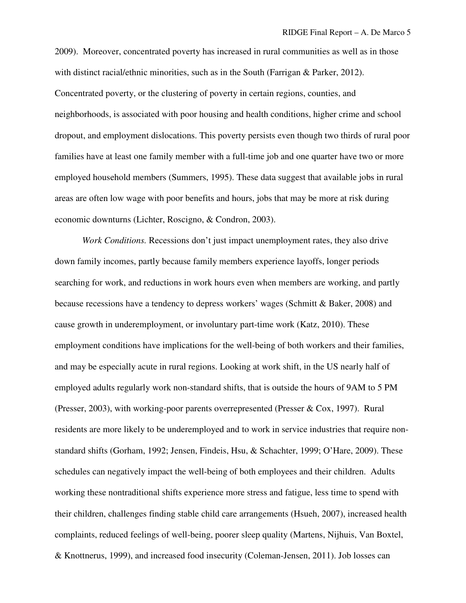2009). Moreover, concentrated poverty has increased in rural communities as well as in those with distinct racial/ethnic minorities, such as in the South (Farrigan & Parker, 2012). Concentrated poverty, or the clustering of poverty in certain regions, counties, and neighborhoods, is associated with poor housing and health conditions, higher crime and school dropout, and employment dislocations. This poverty persists even though two thirds of rural poor families have at least one family member with a full-time job and one quarter have two or more employed household members (Summers, 1995). These data suggest that available jobs in rural areas are often low wage with poor benefits and hours, jobs that may be more at risk during economic downturns (Lichter, Roscigno, & Condron, 2003).

*Work Conditions.* Recessions don't just impact unemployment rates, they also drive down family incomes, partly because family members experience layoffs, longer periods searching for work, and reductions in work hours even when members are working, and partly because recessions have a tendency to depress workers' wages (Schmitt & Baker, 2008) and cause growth in underemployment, or involuntary part-time work (Katz, 2010). These employment conditions have implications for the well-being of both workers and their families, and may be especially acute in rural regions. Looking at work shift, in the US nearly half of employed adults regularly work non-standard shifts, that is outside the hours of 9AM to 5 PM (Presser, 2003), with working-poor parents overrepresented (Presser & Cox, 1997). Rural residents are more likely to be underemployed and to work in service industries that require nonstandard shifts (Gorham, 1992; Jensen, Findeis, Hsu, & Schachter, 1999; O'Hare, 2009). These schedules can negatively impact the well-being of both employees and their children. Adults working these nontraditional shifts experience more stress and fatigue, less time to spend with their children, challenges finding stable child care arrangements (Hsueh, 2007), increased health complaints, reduced feelings of well-being, poorer sleep quality (Martens, Nijhuis, Van Boxtel, & Knottnerus, 1999), and increased food insecurity (Coleman-Jensen, 2011). Job losses can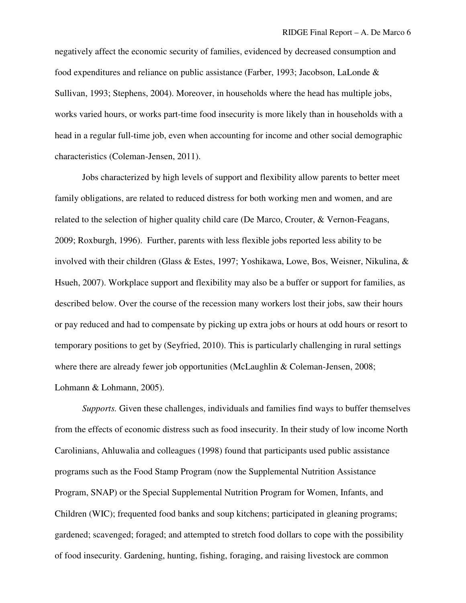negatively affect the economic security of families, evidenced by decreased consumption and food expenditures and reliance on public assistance (Farber, 1993; Jacobson, LaLonde & Sullivan, 1993; Stephens, 2004). Moreover, in households where the head has multiple jobs, works varied hours, or works part-time food insecurity is more likely than in households with a head in a regular full-time job, even when accounting for income and other social demographic characteristics (Coleman-Jensen, 2011).

Jobs characterized by high levels of support and flexibility allow parents to better meet family obligations, are related to reduced distress for both working men and women, and are related to the selection of higher quality child care (De Marco, Crouter, & Vernon-Feagans, 2009; Roxburgh, 1996). Further, parents with less flexible jobs reported less ability to be involved with their children (Glass & Estes, 1997; Yoshikawa, Lowe, Bos, Weisner, Nikulina, & Hsueh, 2007). Workplace support and flexibility may also be a buffer or support for families, as described below. Over the course of the recession many workers lost their jobs, saw their hours or pay reduced and had to compensate by picking up extra jobs or hours at odd hours or resort to temporary positions to get by (Seyfried, 2010). This is particularly challenging in rural settings where there are already fewer job opportunities (McLaughlin & Coleman-Jensen, 2008; Lohmann & Lohmann, 2005).

*Supports.* Given these challenges, individuals and families find ways to buffer themselves from the effects of economic distress such as food insecurity. In their study of low income North Carolinians, Ahluwalia and colleagues (1998) found that participants used public assistance programs such as the Food Stamp Program (now the Supplemental Nutrition Assistance Program, SNAP) or the Special Supplemental Nutrition Program for Women, Infants, and Children (WIC); frequented food banks and soup kitchens; participated in gleaning programs; gardened; scavenged; foraged; and attempted to stretch food dollars to cope with the possibility of food insecurity. Gardening, hunting, fishing, foraging, and raising livestock are common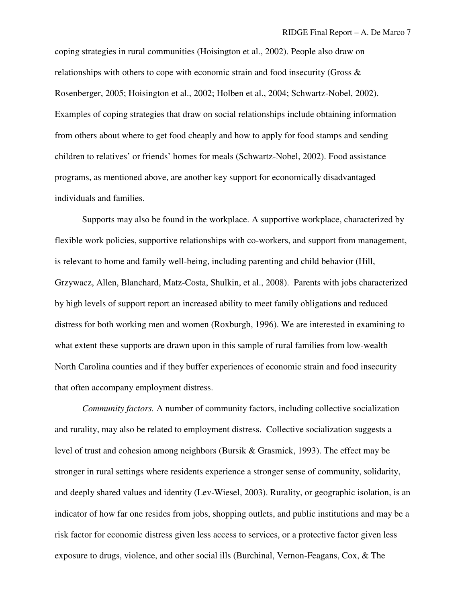coping strategies in rural communities (Hoisington et al., 2002). People also draw on relationships with others to cope with economic strain and food insecurity (Gross & Rosenberger, 2005; Hoisington et al., 2002; Holben et al., 2004; Schwartz-Nobel, 2002). Examples of coping strategies that draw on social relationships include obtaining information from others about where to get food cheaply and how to apply for food stamps and sending children to relatives' or friends' homes for meals (Schwartz-Nobel, 2002). Food assistance programs, as mentioned above, are another key support for economically disadvantaged individuals and families.

Supports may also be found in the workplace. A supportive workplace, characterized by flexible work policies, supportive relationships with co-workers, and support from management, is relevant to home and family well-being, including parenting and child behavior (Hill, Grzywacz, Allen, Blanchard, Matz-Costa, Shulkin, et al., 2008). Parents with jobs characterized by high levels of support report an increased ability to meet family obligations and reduced distress for both working men and women (Roxburgh, 1996). We are interested in examining to what extent these supports are drawn upon in this sample of rural families from low-wealth North Carolina counties and if they buffer experiences of economic strain and food insecurity that often accompany employment distress.

*Community factors.* A number of community factors, including collective socialization and rurality, may also be related to employment distress. Collective socialization suggests a level of trust and cohesion among neighbors (Bursik & Grasmick, 1993). The effect may be stronger in rural settings where residents experience a stronger sense of community, solidarity, and deeply shared values and identity (Lev-Wiesel, 2003). Rurality, or geographic isolation, is an indicator of how far one resides from jobs, shopping outlets, and public institutions and may be a risk factor for economic distress given less access to services, or a protective factor given less exposure to drugs, violence, and other social ills (Burchinal, Vernon-Feagans, Cox, & The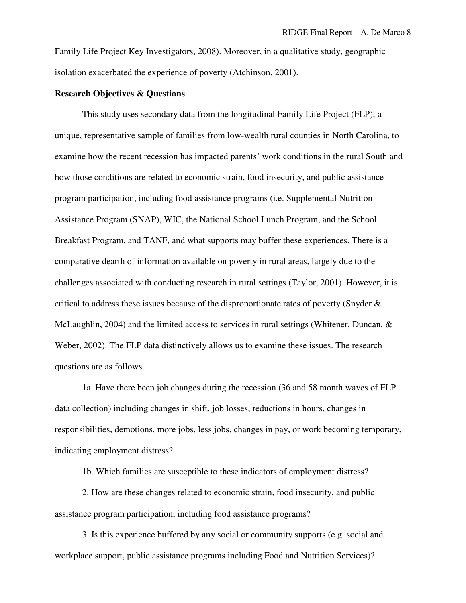Family Life Project Key Investigators, 2008). Moreover, in a qualitative study, geographic isolation exacerbated the experience of poverty (Atchinson, 2001).

### **Research Objectives & Questions**

This study uses secondary data from the longitudinal Family Life Project (FLP), a unique, representative sample of families from low-wealth rural counties in North Carolina, to examine how the recent recession has impacted parents' work conditions in the rural South and how those conditions are related to economic strain, food insecurity, and public assistance program participation, including food assistance programs (i.e. Supplemental Nutrition Assistance Program (SNAP), WIC, the National School Lunch Program, and the School Breakfast Program, and TANF, and what supports may buffer these experiences. There is a comparative dearth of information available on poverty in rural areas, largely due to the challenges associated with conducting research in rural settings (Taylor, 2001). However, it is critical to address these issues because of the disproportionate rates of poverty (Snyder & McLaughlin, 2004) and the limited access to services in rural settings (Whitener, Duncan, & Weber, 2002). The FLP data distinctively allows us to examine these issues. The research questions are as follows.

1a. Have there been job changes during the recession (36 and 58 month waves of FLP data collection) including changes in shift, job losses, reductions in hours, changes in responsibilities, demotions, more jobs, less jobs, changes in pay, or work becoming temporary**,**  indicating employment distress?

1b. Which families are susceptible to these indicators of employment distress?

2. How are these changes related to economic strain, food insecurity, and public assistance program participation, including food assistance programs?

3. Is this experience buffered by any social or community supports (e.g. social and workplace support, public assistance programs including Food and Nutrition Services)?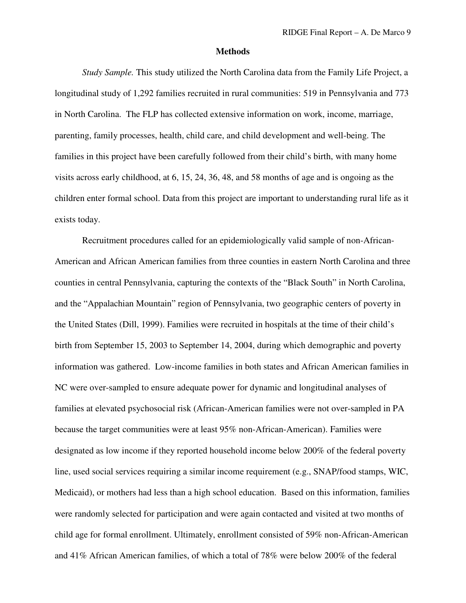#### **Methods**

*Study Sample.* This study utilized the North Carolina data from the Family Life Project, a longitudinal study of 1,292 families recruited in rural communities: 519 in Pennsylvania and 773 in North Carolina. The FLP has collected extensive information on work, income, marriage, parenting, family processes, health, child care, and child development and well-being. The families in this project have been carefully followed from their child's birth, with many home visits across early childhood, at 6, 15, 24, 36, 48, and 58 months of age and is ongoing as the children enter formal school. Data from this project are important to understanding rural life as it exists today.

Recruitment procedures called for an epidemiologically valid sample of non-African-American and African American families from three counties in eastern North Carolina and three counties in central Pennsylvania, capturing the contexts of the "Black South" in North Carolina, and the "Appalachian Mountain" region of Pennsylvania, two geographic centers of poverty in the United States (Dill, 1999). Families were recruited in hospitals at the time of their child's birth from September 15, 2003 to September 14, 2004, during which demographic and poverty information was gathered. Low-income families in both states and African American families in NC were over-sampled to ensure adequate power for dynamic and longitudinal analyses of families at elevated psychosocial risk (African-American families were not over-sampled in PA because the target communities were at least 95% non-African-American). Families were designated as low income if they reported household income below 200% of the federal poverty line, used social services requiring a similar income requirement (e.g., SNAP/food stamps, WIC, Medicaid), or mothers had less than a high school education. Based on this information, families were randomly selected for participation and were again contacted and visited at two months of child age for formal enrollment. Ultimately, enrollment consisted of 59% non-African-American and 41% African American families, of which a total of 78% were below 200% of the federal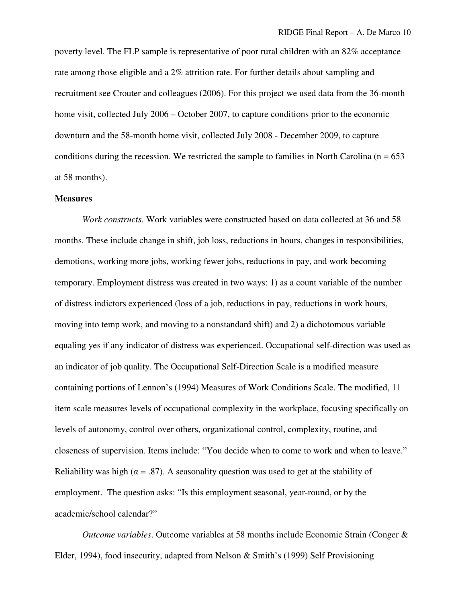poverty level. The FLP sample is representative of poor rural children with an 82% acceptance rate among those eligible and a 2% attrition rate. For further details about sampling and recruitment see Crouter and colleagues (2006). For this project we used data from the 36-month home visit, collected July 2006 – October 2007, to capture conditions prior to the economic downturn and the 58-month home visit, collected July 2008 - December 2009, to capture conditions during the recession. We restricted the sample to families in North Carolina ( $n = 653$ ) at 58 months).

#### **Measures**

 *Work constructs.* Work variables were constructed based on data collected at 36 and 58 months. These include change in shift, job loss, reductions in hours, changes in responsibilities, demotions, working more jobs, working fewer jobs, reductions in pay, and work becoming temporary. Employment distress was created in two ways: 1) as a count variable of the number of distress indictors experienced (loss of a job, reductions in pay, reductions in work hours, moving into temp work, and moving to a nonstandard shift) and 2) a dichotomous variable equaling yes if any indicator of distress was experienced. Occupational self-direction was used as an indicator of job quality. The Occupational Self-Direction Scale is a modified measure containing portions of Lennon's (1994) Measures of Work Conditions Scale. The modified, 11 item scale measures levels of occupational complexity in the workplace, focusing specifically on levels of autonomy, control over others, organizational control, complexity, routine, and closeness of supervision. Items include: "You decide when to come to work and when to leave." Reliability was high ( $\alpha = .87$ ). A seasonality question was used to get at the stability of employment. The question asks: "Is this employment seasonal, year-round, or by the academic/school calendar?"

 *Outcome variables*. Outcome variables at 58 months include Economic Strain (Conger & Elder, 1994), food insecurity, adapted from Nelson & Smith's (1999) Self Provisioning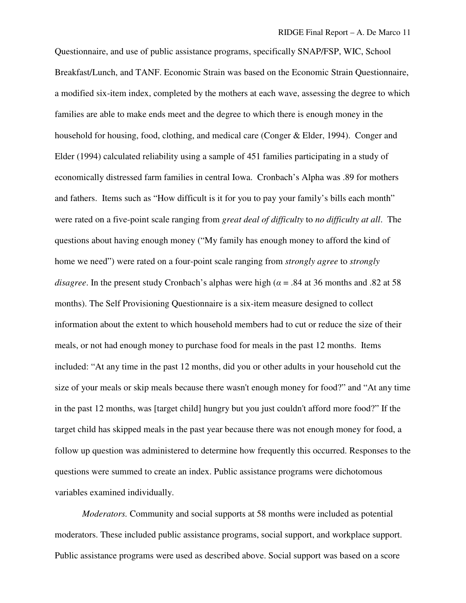Questionnaire, and use of public assistance programs, specifically SNAP/FSP, WIC, School Breakfast/Lunch, and TANF. Economic Strain was based on the Economic Strain Questionnaire, a modified six-item index, completed by the mothers at each wave, assessing the degree to which families are able to make ends meet and the degree to which there is enough money in the household for housing, food, clothing, and medical care (Conger & Elder, 1994). Conger and Elder (1994) calculated reliability using a sample of 451 families participating in a study of economically distressed farm families in central Iowa. Cronbach's Alpha was .89 for mothers and fathers. Items such as "How difficult is it for you to pay your family's bills each month" were rated on a five-point scale ranging from *great deal of difficulty* to *no difficulty at all*. The questions about having enough money ("My family has enough money to afford the kind of home we need") were rated on a four-point scale ranging from *strongly agree* to *strongly disagree*. In the present study Cronbach's alphas were high ( $\alpha$  = .84 at 36 months and .82 at 58 months). The Self Provisioning Questionnaire is a six-item measure designed to collect information about the extent to which household members had to cut or reduce the size of their meals, or not had enough money to purchase food for meals in the past 12 months. Items included: "At any time in the past 12 months, did you or other adults in your household cut the size of your meals or skip meals because there wasn't enough money for food?" and "At any time in the past 12 months, was [target child] hungry but you just couldn't afford more food?" If the target child has skipped meals in the past year because there was not enough money for food, a follow up question was administered to determine how frequently this occurred. Responses to the questions were summed to create an index. Public assistance programs were dichotomous variables examined individually.

*Moderators.* Community and social supports at 58 months were included as potential moderators. These included public assistance programs, social support, and workplace support. Public assistance programs were used as described above. Social support was based on a score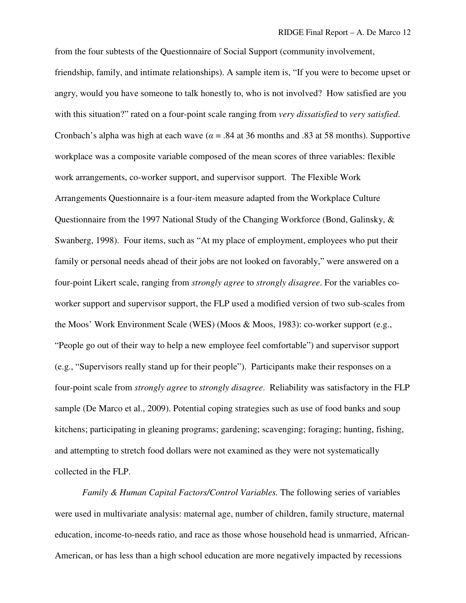from the four subtests of the Questionnaire of Social Support (community involvement, friendship, family, and intimate relationships). A sample item is, "If you were to become upset or angry, would you have someone to talk honestly to, who is not involved? How satisfied are you with this situation?" rated on a four-point scale ranging from *very dissatisfied* to *very satisfied*. Cronbach's alpha was high at each wave ( $\alpha$  = .84 at 36 months and .83 at 58 months). Supportive workplace was a composite variable composed of the mean scores of three variables: flexible work arrangements, co-worker support, and supervisor support. The Flexible Work Arrangements Questionnaire is a four-item measure adapted from the Workplace Culture Questionnaire from the 1997 National Study of the Changing Workforce (Bond, Galinsky, & Swanberg, 1998). Four items, such as "At my place of employment, employees who put their family or personal needs ahead of their jobs are not looked on favorably," were answered on a four-point Likert scale, ranging from *strongly agree* to *strongly disagree*. For the variables coworker support and supervisor support, the FLP used a modified version of two sub-scales from the Moos' Work Environment Scale (WES) (Moos & Moos, 1983): co-worker support (e.g., "People go out of their way to help a new employee feel comfortable") and supervisor support (e.g., "Supervisors really stand up for their people"). Participants make their responses on a four-point scale from *strongly agree* to *strongly disagree*. Reliability was satisfactory in the FLP sample (De Marco et al., 2009). Potential coping strategies such as use of food banks and soup kitchens; participating in gleaning programs; gardening; scavenging; foraging; hunting, fishing, and attempting to stretch food dollars were not examined as they were not systematically collected in the FLP.

*Family & Human Capital Factors/Control Variables.* The following series of variables were used in multivariate analysis: maternal age, number of children, family structure, maternal education, income-to-needs ratio, and race as those whose household head is unmarried, African-American, or has less than a high school education are more negatively impacted by recessions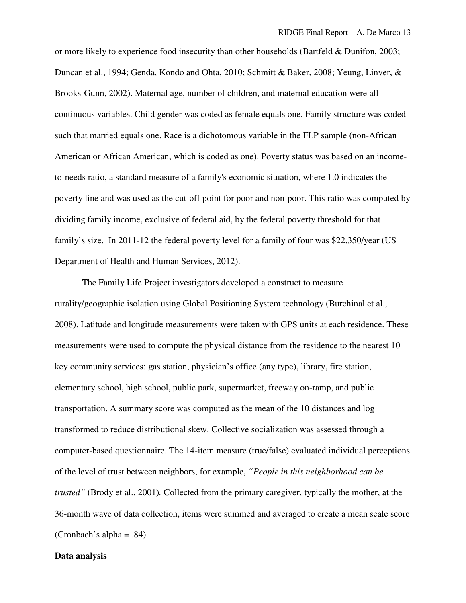or more likely to experience food insecurity than other households (Bartfeld & Dunifon, 2003; Duncan et al., 1994; Genda, Kondo and Ohta, 2010; Schmitt & Baker, 2008; Yeung, Linver, & Brooks-Gunn, 2002). Maternal age, number of children, and maternal education were all continuous variables. Child gender was coded as female equals one. Family structure was coded such that married equals one. Race is a dichotomous variable in the FLP sample (non-African American or African American, which is coded as one). Poverty status was based on an incometo-needs ratio, a standard measure of a family's economic situation, where 1.0 indicates the poverty line and was used as the cut-off point for poor and non-poor. This ratio was computed by dividing family income, exclusive of federal aid, by the federal poverty threshold for that family's size. In 2011-12 the federal poverty level for a family of four was \$22,350/year (US Department of Health and Human Services, 2012).

The Family Life Project investigators developed a construct to measure rurality/geographic isolation using Global Positioning System technology (Burchinal et al., 2008). Latitude and longitude measurements were taken with GPS units at each residence. These measurements were used to compute the physical distance from the residence to the nearest 10 key community services: gas station, physician's office (any type), library, fire station, elementary school, high school, public park, supermarket, freeway on-ramp, and public transportation. A summary score was computed as the mean of the 10 distances and log transformed to reduce distributional skew. Collective socialization was assessed through a computer-based questionnaire. The 14-item measure (true/false) evaluated individual perceptions of the level of trust between neighbors, for example, *"People in this neighborhood can be trusted"* (Brody et al., 2001)*.* Collected from the primary caregiver, typically the mother, at the 36-month wave of data collection, items were summed and averaged to create a mean scale score (Cronbach's alpha =  $.84$ ).

### **Data analysis**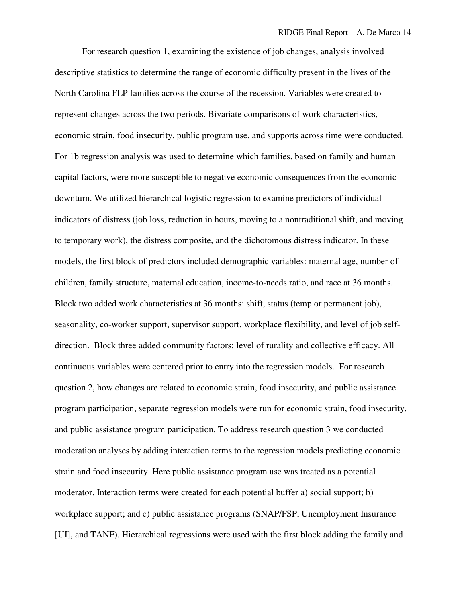For research question 1, examining the existence of job changes, analysis involved descriptive statistics to determine the range of economic difficulty present in the lives of the North Carolina FLP families across the course of the recession. Variables were created to represent changes across the two periods. Bivariate comparisons of work characteristics, economic strain, food insecurity, public program use, and supports across time were conducted. For 1b regression analysis was used to determine which families, based on family and human capital factors, were more susceptible to negative economic consequences from the economic downturn. We utilized hierarchical logistic regression to examine predictors of individual indicators of distress (job loss, reduction in hours, moving to a nontraditional shift, and moving to temporary work), the distress composite, and the dichotomous distress indicator. In these models, the first block of predictors included demographic variables: maternal age, number of children, family structure, maternal education, income-to-needs ratio, and race at 36 months. Block two added work characteristics at 36 months: shift, status (temp or permanent job), seasonality, co-worker support, supervisor support, workplace flexibility, and level of job selfdirection. Block three added community factors: level of rurality and collective efficacy. All continuous variables were centered prior to entry into the regression models. For research question 2, how changes are related to economic strain, food insecurity, and public assistance program participation, separate regression models were run for economic strain, food insecurity, and public assistance program participation. To address research question 3 we conducted moderation analyses by adding interaction terms to the regression models predicting economic strain and food insecurity. Here public assistance program use was treated as a potential moderator. Interaction terms were created for each potential buffer a) social support; b) workplace support; and c) public assistance programs (SNAP/FSP, Unemployment Insurance [UI], and TANF). Hierarchical regressions were used with the first block adding the family and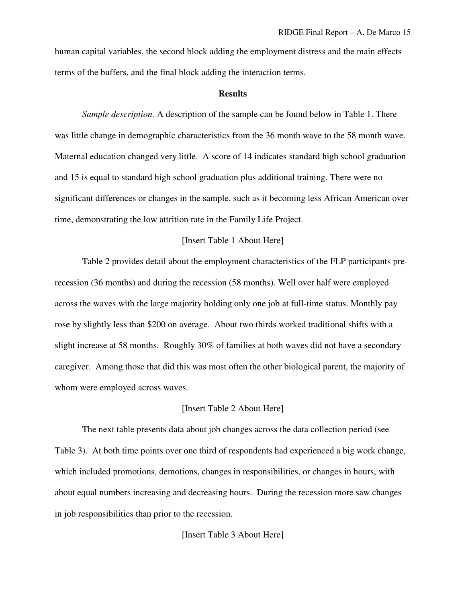human capital variables, the second block adding the employment distress and the main effects terms of the buffers, and the final block adding the interaction terms.

### **Results**

*Sample description.* A description of the sample can be found below in Table 1. There was little change in demographic characteristics from the 36 month wave to the 58 month wave. Maternal education changed very little. A score of 14 indicates standard high school graduation and 15 is equal to standard high school graduation plus additional training. There were no significant differences or changes in the sample, such as it becoming less African American over time, demonstrating the low attrition rate in the Family Life Project.

### [Insert Table 1 About Here]

Table 2 provides detail about the employment characteristics of the FLP participants prerecession (36 months) and during the recession (58 months). Well over half were employed across the waves with the large majority holding only one job at full-time status. Monthly pay rose by slightly less than \$200 on average. About two thirds worked traditional shifts with a slight increase at 58 months. Roughly 30% of families at both waves did not have a secondary caregiver. Among those that did this was most often the other biological parent, the majority of whom were employed across waves.

### [Insert Table 2 About Here]

The next table presents data about job changes across the data collection period (see Table 3). At both time points over one third of respondents had experienced a big work change, which included promotions, demotions, changes in responsibilities, or changes in hours, with about equal numbers increasing and decreasing hours. During the recession more saw changes in job responsibilities than prior to the recession.

[Insert Table 3 About Here]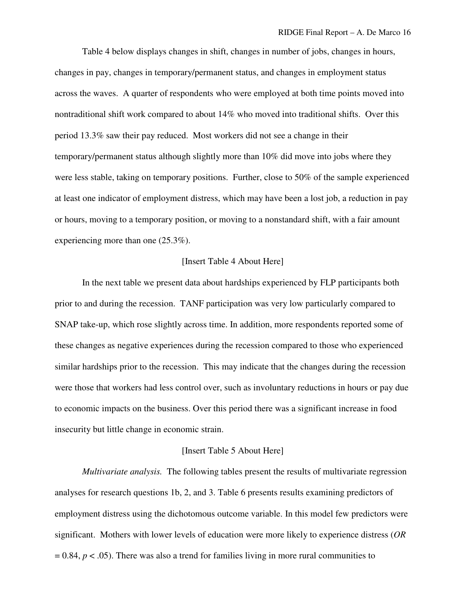Table 4 below displays changes in shift, changes in number of jobs, changes in hours, changes in pay, changes in temporary/permanent status, and changes in employment status across the waves. A quarter of respondents who were employed at both time points moved into nontraditional shift work compared to about 14% who moved into traditional shifts. Over this period 13.3% saw their pay reduced. Most workers did not see a change in their temporary/permanent status although slightly more than 10% did move into jobs where they were less stable, taking on temporary positions. Further, close to 50% of the sample experienced at least one indicator of employment distress, which may have been a lost job, a reduction in pay or hours, moving to a temporary position, or moving to a nonstandard shift, with a fair amount experiencing more than one (25.3%).

## [Insert Table 4 About Here]

In the next table we present data about hardships experienced by FLP participants both prior to and during the recession. TANF participation was very low particularly compared to SNAP take-up, which rose slightly across time. In addition, more respondents reported some of these changes as negative experiences during the recession compared to those who experienced similar hardships prior to the recession. This may indicate that the changes during the recession were those that workers had less control over, such as involuntary reductions in hours or pay due to economic impacts on the business. Over this period there was a significant increase in food insecurity but little change in economic strain.

#### [Insert Table 5 About Here]

*Multivariate analysis.* The following tables present the results of multivariate regression analyses for research questions 1b, 2, and 3. Table 6 presents results examining predictors of employment distress using the dichotomous outcome variable. In this model few predictors were significant. Mothers with lower levels of education were more likely to experience distress (*OR*  $= 0.84$ ,  $p < .05$ ). There was also a trend for families living in more rural communities to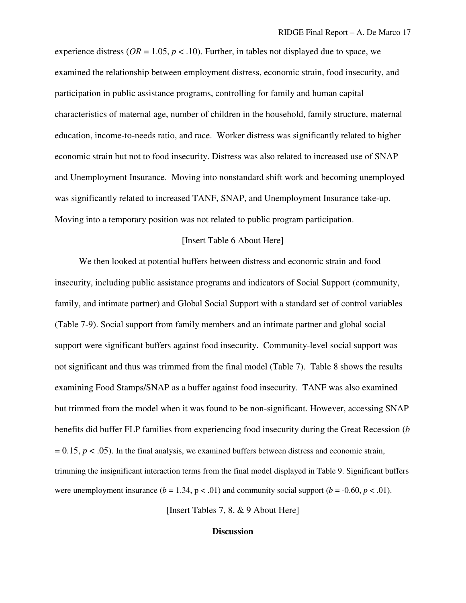experience distress ( $OR = 1.05$ ,  $p < .10$ ). Further, in tables not displayed due to space, we examined the relationship between employment distress, economic strain, food insecurity, and participation in public assistance programs, controlling for family and human capital characteristics of maternal age, number of children in the household, family structure, maternal education, income-to-needs ratio, and race. Worker distress was significantly related to higher economic strain but not to food insecurity. Distress was also related to increased use of SNAP and Unemployment Insurance. Moving into nonstandard shift work and becoming unemployed was significantly related to increased TANF, SNAP, and Unemployment Insurance take-up. Moving into a temporary position was not related to public program participation.

### [Insert Table 6 About Here]

We then looked at potential buffers between distress and economic strain and food insecurity, including public assistance programs and indicators of Social Support (community, family, and intimate partner) and Global Social Support with a standard set of control variables (Table 7-9). Social support from family members and an intimate partner and global social support were significant buffers against food insecurity. Community-level social support was not significant and thus was trimmed from the final model (Table 7). Table 8 shows the results examining Food Stamps/SNAP as a buffer against food insecurity. TANF was also examined but trimmed from the model when it was found to be non-significant. However, accessing SNAP benefits did buffer FLP families from experiencing food insecurity during the Great Recession (*b*  $= 0.15$ ,  $p < .05$ ). In the final analysis, we examined buffers between distress and economic strain, trimming the insignificant interaction terms from the final model displayed in Table 9. Significant buffers were unemployment insurance  $(b = 1.34, p < .01)$  and community social support  $(b = -0.60, p < .01)$ .

[Insert Tables 7, 8, & 9 About Here]

#### **Discussion**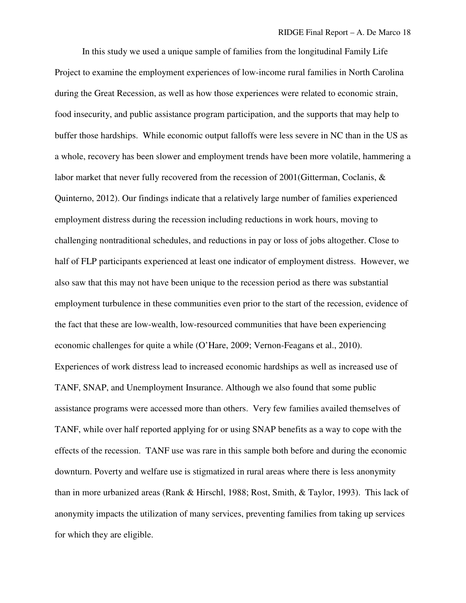In this study we used a unique sample of families from the longitudinal Family Life Project to examine the employment experiences of low-income rural families in North Carolina during the Great Recession, as well as how those experiences were related to economic strain, food insecurity, and public assistance program participation, and the supports that may help to buffer those hardships. While economic output falloffs were less severe in NC than in the US as a whole, recovery has been slower and employment trends have been more volatile, hammering a labor market that never fully recovered from the recession of 2001(Gitterman, Coclanis, & Quinterno, 2012). Our findings indicate that a relatively large number of families experienced employment distress during the recession including reductions in work hours, moving to challenging nontraditional schedules, and reductions in pay or loss of jobs altogether. Close to half of FLP participants experienced at least one indicator of employment distress. However, we also saw that this may not have been unique to the recession period as there was substantial employment turbulence in these communities even prior to the start of the recession, evidence of the fact that these are low-wealth, low-resourced communities that have been experiencing economic challenges for quite a while (O'Hare, 2009; Vernon-Feagans et al., 2010). Experiences of work distress lead to increased economic hardships as well as increased use of TANF, SNAP, and Unemployment Insurance. Although we also found that some public assistance programs were accessed more than others. Very few families availed themselves of TANF, while over half reported applying for or using SNAP benefits as a way to cope with the effects of the recession. TANF use was rare in this sample both before and during the economic downturn. Poverty and welfare use is stigmatized in rural areas where there is less anonymity than in more urbanized areas (Rank & Hirschl, 1988; Rost, Smith, & Taylor, 1993). This lack of anonymity impacts the utilization of many services, preventing families from taking up services for which they are eligible.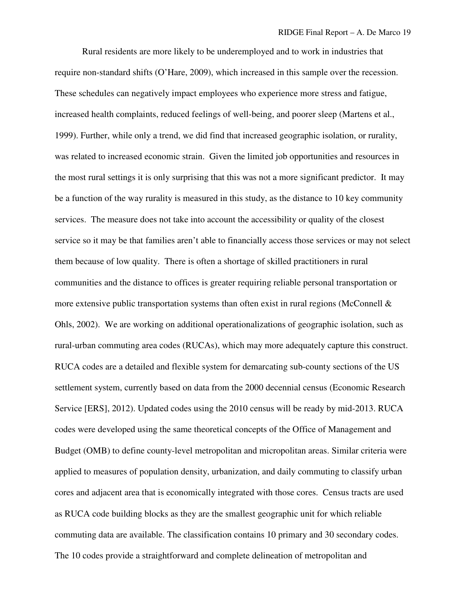Rural residents are more likely to be underemployed and to work in industries that require non-standard shifts (O'Hare, 2009), which increased in this sample over the recession. These schedules can negatively impact employees who experience more stress and fatigue, increased health complaints, reduced feelings of well-being, and poorer sleep (Martens et al., 1999). Further, while only a trend, we did find that increased geographic isolation, or rurality, was related to increased economic strain. Given the limited job opportunities and resources in the most rural settings it is only surprising that this was not a more significant predictor. It may be a function of the way rurality is measured in this study, as the distance to 10 key community services. The measure does not take into account the accessibility or quality of the closest service so it may be that families aren't able to financially access those services or may not select them because of low quality. There is often a shortage of skilled practitioners in rural communities and the distance to offices is greater requiring reliable personal transportation or more extensive public transportation systems than often exist in rural regions (McConnell  $\&$ Ohls, 2002). We are working on additional operationalizations of geographic isolation, such as rural-urban commuting area codes (RUCAs), which may more adequately capture this construct. RUCA codes are a detailed and flexible system for demarcating sub-county sections of the US settlement system, currently based on data from the 2000 decennial census (Economic Research Service [ERS], 2012). Updated codes using the 2010 census will be ready by mid-2013. RUCA codes were developed using the same theoretical concepts of the Office of Management and Budget (OMB) to define county-level metropolitan and micropolitan areas. Similar criteria were applied to measures of population density, urbanization, and daily commuting to classify urban cores and adjacent area that is economically integrated with those cores. Census tracts are used as RUCA code building blocks as they are the smallest geographic unit for which reliable commuting data are available. The classification contains 10 primary and 30 secondary codes. The 10 codes provide a straightforward and complete delineation of metropolitan and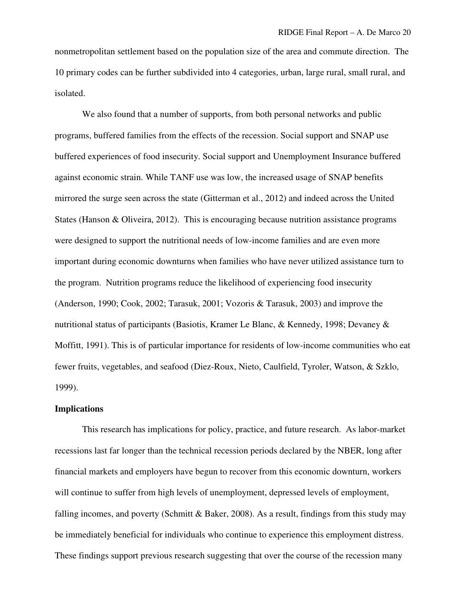nonmetropolitan settlement based on the population size of the area and commute direction. The 10 primary codes can be further subdivided into 4 categories, urban, large rural, small rural, and isolated.

We also found that a number of supports, from both personal networks and public programs, buffered families from the effects of the recession. Social support and SNAP use buffered experiences of food insecurity. Social support and Unemployment Insurance buffered against economic strain. While TANF use was low, the increased usage of SNAP benefits mirrored the surge seen across the state (Gitterman et al., 2012) and indeed across the United States (Hanson & Oliveira, 2012). This is encouraging because nutrition assistance programs were designed to support the nutritional needs of low-income families and are even more important during economic downturns when families who have never utilized assistance turn to the program. Nutrition programs reduce the likelihood of experiencing food insecurity (Anderson, 1990; Cook, 2002; Tarasuk, 2001; Vozoris & Tarasuk, 2003) and improve the nutritional status of participants (Basiotis, Kramer Le Blanc, & Kennedy, 1998; Devaney & Moffitt, 1991). This is of particular importance for residents of low-income communities who eat fewer fruits, vegetables, and seafood (Diez-Roux, Nieto, Caulfield, Tyroler, Watson, & Szklo, 1999).

### **Implications**

This research has implications for policy, practice, and future research. As labor-market recessions last far longer than the technical recession periods declared by the NBER, long after financial markets and employers have begun to recover from this economic downturn, workers will continue to suffer from high levels of unemployment, depressed levels of employment, falling incomes, and poverty (Schmitt & Baker, 2008). As a result, findings from this study may be immediately beneficial for individuals who continue to experience this employment distress. These findings support previous research suggesting that over the course of the recession many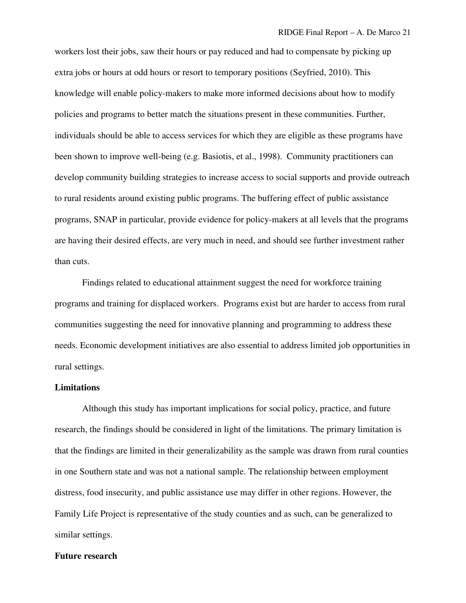workers lost their jobs, saw their hours or pay reduced and had to compensate by picking up extra jobs or hours at odd hours or resort to temporary positions (Seyfried, 2010). This knowledge will enable policy-makers to make more informed decisions about how to modify policies and programs to better match the situations present in these communities. Further, individuals should be able to access services for which they are eligible as these programs have been shown to improve well-being (e.g. Basiotis, et al., 1998). Community practitioners can develop community building strategies to increase access to social supports and provide outreach to rural residents around existing public programs. The buffering effect of public assistance programs, SNAP in particular, provide evidence for policy-makers at all levels that the programs are having their desired effects, are very much in need, and should see further investment rather than cuts.

Findings related to educational attainment suggest the need for workforce training programs and training for displaced workers. Programs exist but are harder to access from rural communities suggesting the need for innovative planning and programming to address these needs. Economic development initiatives are also essential to address limited job opportunities in rural settings.

### **Limitations**

Although this study has important implications for social policy, practice, and future research, the findings should be considered in light of the limitations. The primary limitation is that the findings are limited in their generalizability as the sample was drawn from rural counties in one Southern state and was not a national sample. The relationship between employment distress, food insecurity, and public assistance use may differ in other regions. However, the Family Life Project is representative of the study counties and as such, can be generalized to similar settings.

#### **Future research**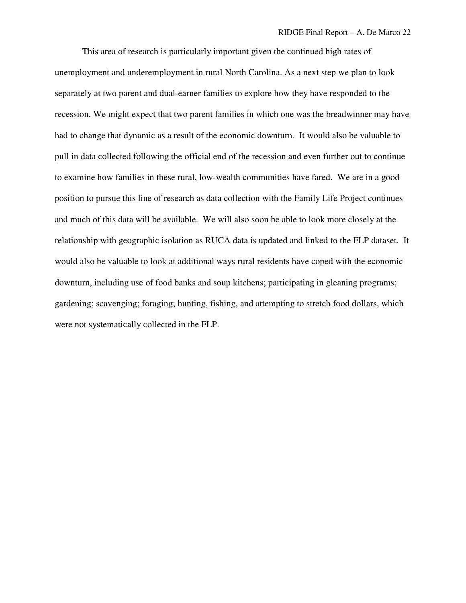This area of research is particularly important given the continued high rates of unemployment and underemployment in rural North Carolina. As a next step we plan to look separately at two parent and dual-earner families to explore how they have responded to the recession. We might expect that two parent families in which one was the breadwinner may have had to change that dynamic as a result of the economic downturn. It would also be valuable to pull in data collected following the official end of the recession and even further out to continue to examine how families in these rural, low-wealth communities have fared. We are in a good position to pursue this line of research as data collection with the Family Life Project continues and much of this data will be available. We will also soon be able to look more closely at the relationship with geographic isolation as RUCA data is updated and linked to the FLP dataset. It would also be valuable to look at additional ways rural residents have coped with the economic downturn, including use of food banks and soup kitchens; participating in gleaning programs; gardening; scavenging; foraging; hunting, fishing, and attempting to stretch food dollars, which were not systematically collected in the FLP.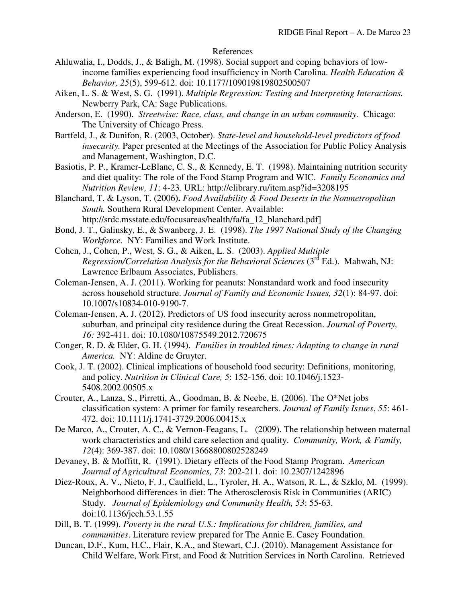### References

- Ahluwalia, I., Dodds, J., & Baligh, M. (1998). Social support and coping behaviors of lowincome families experiencing food insufficiency in North Carolina. *Health Education & Behavior, 25*(5), 599-612. doi: 10.1177/109019819802500507
- Aiken, L. S. & West, S. G. (1991). *Multiple Regression: Testing and Interpreting Interactions.*  Newberry Park, CA: Sage Publications.
- Anderson, E. (1990). *Streetwise: Race, class, and change in an urban community.* Chicago: The University of Chicago Press.
- Bartfeld, J., & Dunifon, R. (2003, October). *State-level and household-level predictors of food insecurity.* Paper presented at the Meetings of the Association for Public Policy Analysis and Management, Washington, D.C.
- Basiotis, P. P., Kramer-LeBlanc, C. S., & Kennedy, E. T. (1998). Maintaining nutrition security and diet quality: The role of the Food Stamp Program and WIC. *Family Economics and Nutrition Review, 11*: 4-23. URL: http://elibrary.ru/item.asp?id=3208195
- Blanchard, T. & Lyson, T. (2006**).** *Food Availability & Food Deserts in the Nonmetropolitan South.* Southern Rural Development Center. Available: http://srdc.msstate.edu/focusareas/health/fa/fa\_12\_blanchard.pdf]
- Bond, J. T., Galinsky, E., & Swanberg, J. E. (1998). *The 1997 National Study of the Changing Workforce.* NY: Families and Work Institute.
- Cohen, J., Cohen, P., West, S. G., & Aiken, L. S. (2003). *Applied Multiple Regression/Correlation Analysis for the Behavioral Sciences* (3<sup>rd</sup> Ed.). Mahwah, NJ: Lawrence Erlbaum Associates, Publishers.
- Coleman-Jensen, A. J. (2011). Working for peanuts: Nonstandard work and food insecurity across household structure. *Journal of Family and Economic Issues, 32*(1): 84-97. doi: 10.1007/s10834-010-9190-7.
- Coleman-Jensen, A. J. (2012). Predictors of US food insecurity across nonmetropolitan, suburban, and principal city residence during the Great Recession. *Journal of Poverty, 16:* 392-411. doi: 10.1080/10875549.2012.720675
- Conger, R. D. & Elder, G. H. (1994). *Families in troubled times: Adapting to change in rural America.* NY: Aldine de Gruyter.
- Cook, J. T. (2002). Clinical implications of household food security: Definitions, monitoring, and policy. *Nutrition in Clinical Care, 5*: 152-156. doi: 10.1046/j.1523- 5408.2002.00505.x
- Crouter, A., Lanza, S., Pirretti, A., Goodman, B. & Neebe, E. (2006). The O\*Net jobs classification system: A primer for family researchers. *Journal of Family Issues*, *55*: 461- 472. doi: 10.1111/j.1741-3729.2006.00415.x
- De Marco, A., Crouter, A. C., & Vernon-Feagans, L. (2009). The relationship between maternal work characteristics and child care selection and quality. *Community, Work, & Family, 12*(4): 369-387. doi: 10.1080/13668800802528249
- Devaney, B. & Moffitt, R. (1991). Dietary effects of the Food Stamp Program. *American Journal of Agricultural Economics, 73*: 202-211. doi: 10.2307/1242896
- Diez-Roux, A. V., Nieto, F. J., Caulfield, L., Tyroler, H. A., Watson, R. L., & Szklo, M. (1999). Neighborhood differences in diet: The Atherosclerosis Risk in Communities (ARIC) Study. *Journal of Epidemiology and Community Health, 53*: 55-63. doi:10.1136/jech.53.1.55
- Dill, B. T. (1999). *Poverty in the rural U.S.: Implications for children, families, and communities*. Literature review prepared for The Annie E. Casey Foundation.
- Duncan, D.F., Kum, H.C., Flair, K.A., and Stewart, C.J. (2010). Management Assistance for Child Welfare, Work First, and Food & Nutrition Services in North Carolina. Retrieved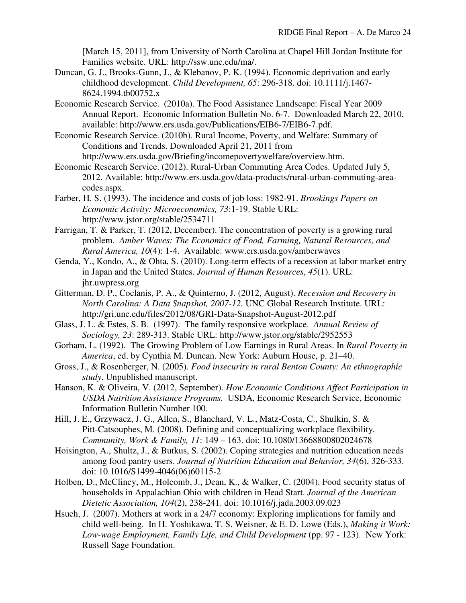[March 15, 2011], from University of North Carolina at Chapel Hill Jordan Institute for Families website. URL: http://ssw.unc.edu/ma/.

- Duncan, G. J., Brooks-Gunn, J., & Klebanov, P. K. (1994). Economic deprivation and early childhood development. *Child Development, 65*: 296-318. doi: 10.1111/j.1467- 8624.1994.tb00752.x
- Economic Research Service. (2010a). The Food Assistance Landscape: Fiscal Year 2009 Annual Report. Economic Information Bulletin No. 6-7. Downloaded March 22, 2010, available: http://www.ers.usda.gov/Publications/EIB6-7/EIB6-7.pdf.
- Economic Research Service. (2010b). Rural Income, Poverty, and Welfare: Summary of Conditions and Trends. Downloaded April 21, 2011 from http://www.ers.usda.gov/Briefing/incomepovertywelfare/overview.htm.
- Economic Research Service. (2012). Rural-Urban Commuting Area Codes. Updated July 5, 2012. Available: http://www.ers.usda.gov/data-products/rural-urban-commuting-areacodes.aspx.
- Farber, H. S. (1993). The incidence and costs of job loss: 1982-91. *Brookings Papers on Economic Activity: Microeconomics, 73*:1-19. Stable URL: http://www.jstor.org/stable/2534711
- Farrigan, T. & Parker, T. (2012, December). The concentration of poverty is a growing rural problem. *Amber Waves: The Economics of Food, Farming, Natural Resources, and Rural America, 10*(4): 1-4. Available: www.ers.usda.gov/amberwaves
- Genda, Y., Kondo, A., & Ohta, S. (2010). Long-term effects of a recession at labor market entry in Japan and the United States. *Journal of Human Resources*, *45*(1). URL: jhr.uwpress.org
- Gitterman, D. P., Coclanis, P. A., & Quinterno, J. (2012, August). *Recession and Recovery in North Carolina: A Data Snapshot, 2007-12.* UNC Global Research Institute. URL: http://gri.unc.edu/files/2012/08/GRI-Data-Snapshot-August-2012.pdf
- Glass, J. L. & Estes, S. B. (1997). The family responsive workplace. *Annual Review of Sociology, 23*: 289-313. Stable URL: http://www.jstor.org/stable/2952553
- Gorham, L. (1992). The Growing Problem of Low Earnings in Rural Areas. In *Rural Poverty in America*, ed. by Cynthia M. Duncan. New York: Auburn House, p. 21–40.
- Gross, J., & Rosenberger, N. (2005). *Food insecurity in rural Benton County: An ethnographic study*. Unpublished manuscript.
- Hanson, K. & Oliveira, V. (2012, September). *How Economic Conditions Affect Participation in USDA Nutrition Assistance Programs.* USDA, Economic Research Service, Economic Information Bulletin Number 100.
- Hill, J. E., Grzywacz, J. G., Allen, S., Blanchard, V. L., Matz-Costa, C., Shulkin, S. & Pitt-Catsouphes, M. (2008). Defining and conceptualizing workplace flexibility. *Community, Work & Family, 11*: 149 – 163. doi: 10.1080/13668800802024678
- Hoisington, A., Shultz, J., & Butkus, S. (2002). Coping strategies and nutrition education needs among food pantry users. *Journal of Nutrition Education and Behavior, 34*(6), 326-333. doi: 10.1016/S1499-4046(06)60115-2
- Holben, D., McClincy, M., Holcomb, J., Dean, K., & Walker, C. (2004). Food security status of households in Appalachian Ohio with children in Head Start. *Journal of the American Dietetic Association, 104*(2), 238-241. doi: 10.1016/j.jada.2003.09.023
- Hsueh, J. (2007). Mothers at work in a 24/7 economy: Exploring implications for family and child well-being. In H. Yoshikawa, T. S. Weisner, & E. D. Lowe (Eds.), *Making it Work: Low-wage Employment, Family Life, and Child Development* (pp. 97 - 123). New York: Russell Sage Foundation.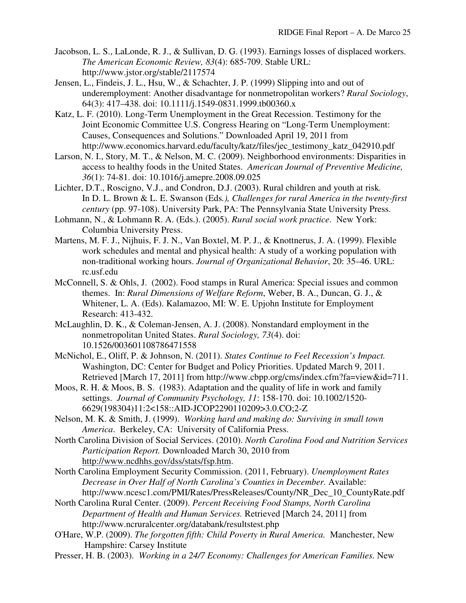- Jacobson, L. S., LaLonde, R. J., & Sullivan, D. G. (1993). Earnings losses of displaced workers. *The American Economic Review, 83*(4): 685-709. Stable URL: http://www.jstor.org/stable/2117574
- Jensen, L., Findeis, J. L., Hsu, W., & Schachter, J. P. (1999) Slipping into and out of underemployment: Another disadvantage for nonmetropolitan workers? *Rural Sociology*, 64(3): 417–438. doi: 10.1111/j.1549-0831.1999.tb00360.x
- Katz, L. F. (2010). Long-Term Unemployment in the Great Recession. Testimony for the Joint Economic Committee U.S. Congress Hearing on "Long-Term Unemployment: Causes, Consequences and Solutions." Downloaded April 19, 2011 from http://www.economics.harvard.edu/faculty/katz/files/jec\_testimony\_katz\_042910.pdf
- Larson, N. I., Story, M. T., & Nelson, M. C. (2009). Neighborhood environments: Disparities in access to healthy foods in the United States. *American Journal of Preventive Medicine, 36*(1): 74-81. doi: 10.1016/j.amepre.2008.09.025
- Lichter, D.T., Roscigno, V.J., and Condron, D.J. (2003). Rural children and youth at risk*.* In D. L. Brown & L. E. Swanson (Eds*.), Challenges for rural America in the twenty-first century* (pp. 97-108). University Park, PA: The Pennsylvania State University Press.
- Lohmann, N., & Lohmann R. A. (Eds.). (2005). *Rural social work practice*. New York: Columbia University Press.
- Martens, M. F. J., Nijhuis, F. J. N., Van Boxtel, M. P. J., & Knottnerus, J. A. (1999). Flexible work schedules and mental and physical health: A study of a working population with non-traditional working hours. *Journal of Organizational Behavior*, 20: 35–46. URL: rc.usf.edu
- McConnell, S. & Ohls, J. (2002). Food stamps in Rural America: Special issues and common themes. In: *Rural Dimensions of Welfare Reform*, Weber, B. A., Duncan, G. J., & Whitener, L. A. (Eds). Kalamazoo, MI: W. E. Upjohn Institute for Employment Research: 413-432.
- McLaughlin, D. K., & Coleman-Jensen, A. J. (2008). Nonstandard employment in the nonmetropolitan United States. *Rural Sociology, 73*(4). doi: 10.1526/003601108786471558
- McNichol, E., Oliff, P. & Johnson, N. (2011). *States Continue to Feel Recession's Impact.* Washington, DC: Center for Budget and Policy Priorities. Updated March 9, 2011. Retrieved [March 17, 2011] from http://www.cbpp.org/cms/index.cfm?fa=view&id=711.
- Moos, R. H. & Moos, B. S. (1983). Adaptation and the quality of life in work and family settings. *Journal of Community Psychology, 11*: 158-170. doi: 10.1002/1520- 6629(198304)11:2<158::AID-JCOP2290110209>3.0.CO;2-Z
- Nelson, M. K. & Smith, J. (1999). *Working hard and making do: Surviving in small town America*. Berkeley, CA: University of California Press.
- North Carolina Division of Social Services. (2010). *North Carolina Food and Nutrition Services Participation Report.* Downloaded March 30, 2010 from http://www.ncdhhs.gov/dss/stats/fsp.htm.
- North Carolina Employment Security Commission. (2011, February). *Unemployment Rates Decrease in Over Half of North Carolina's Counties in December.* Available: http://www.ncesc1.com/PMI/Rates/PressReleases/County/NR\_Dec\_10\_CountyRate.pdf
- North Carolina Rural Center. (2009). *Percent Receiving Food Stamps, North Carolina Department of Health and Human Services.* Retrieved [March 24, 2011] from http://www.ncruralcenter.org/databank/resultstest.php
- O'Hare, W.P. (2009). *The forgotten fifth: Child Poverty in Rural America.* Manchester, New Hampshire: Carsey Institute
- Presser, H. B. (2003). *Working in a 24/7 Economy: Challenges for American Families.* New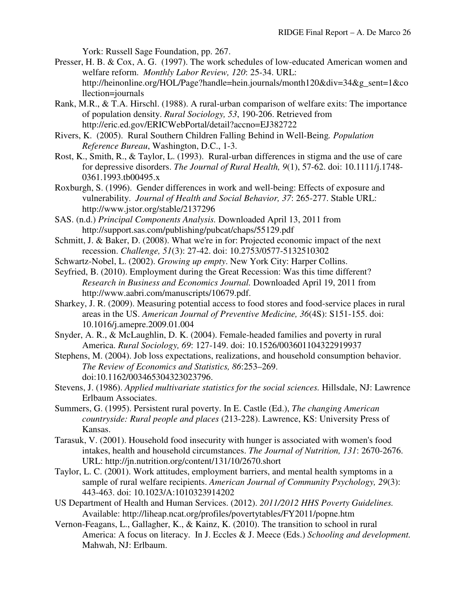York: Russell Sage Foundation, pp. 267.

- Presser, H. B. & Cox, A. G. (1997). The work schedules of low-educated American women and welfare reform. *Monthly Labor Review, 120*: 25-34. URL: http://heinonline.org/HOL/Page?handle=hein.journals/month120&div=34&g\_sent=1&co llection=journals
- Rank, M.R., & T.A. Hirschl. (1988). A rural-urban comparison of welfare exits: The importance of population density. *Rural Sociology, 53*, 190-206. Retrieved from http://eric.ed.gov/ERICWebPortal/detail?accno=EJ382722
- Rivers, K. (2005). Rural Southern Children Falling Behind in Well-Being*. Population Reference Bureau*, Washington, D.C., 1-3.
- Rost, K., Smith, R., & Taylor, L. (1993). Rural-urban differences in stigma and the use of care for depressive disorders. *The Journal of Rural Health, 9*(1), 57-62. doi: 10.1111/j.1748- 0361.1993.tb00495.x
- Roxburgh, S. (1996). Gender differences in work and well-being: Effects of exposure and vulnerability. *Journal of Health and Social Behavior, 37*: 265-277. Stable URL: http://www.jstor.org/stable/2137296
- SAS. (n.d.) *Principal Components Analysis.* Downloaded April 13, 2011 from http://support.sas.com/publishing/pubcat/chaps/55129.pdf
- Schmitt, J. & Baker, D. (2008). What we're in for: Projected economic impact of the next recession. *Challenge, 51*(3): 27-42. doi: 10.2753/0577-5132510302
- Schwartz-Nobel, L. (2002). *Growing up empty*. New York City: Harper Collins.
- Seyfried, B. (2010). Employment during the Great Recession: Was this time different? *Research in Business and Economics Journal.* Downloaded April 19, 2011 from http://www.aabri.com/manuscripts/10679.pdf.
- Sharkey, J. R. (2009). Measuring potential access to food stores and food-service places in rural areas in the US. *American Journal of Preventive Medicine, 36*(4S): S151-155. doi: 10.1016/j.amepre.2009.01.004
- Snyder, A. R., & McLaughlin, D. K. (2004). Female-headed families and poverty in rural America. *Rural Sociology, 69*: 127-149. doi: 10.1526/003601104322919937
- Stephens, M. (2004). Job loss expectations, realizations, and household consumption behavior. *The Review of Economics and Statistics, 86*:253–269. doi:10.1162/003465304323023796.
- Stevens, J. (1986). *Applied multivariate statistics for the social sciences.* Hillsdale, NJ: Lawrence Erlbaum Associates.
- Summers, G. (1995). Persistent rural poverty. In E. Castle (Ed.), *The changing American countryside: Rural people and places* (213-228). Lawrence, KS: University Press of Kansas.
- Tarasuk, V. (2001). Household food insecurity with hunger is associated with women's food intakes, health and household circumstances. *The Journal of Nutrition, 131*: 2670-2676. URL: http://jn.nutrition.org/content/131/10/2670.short
- Taylor, L. C. (2001). Work attitudes, employment barriers, and mental health symptoms in a sample of rural welfare recipients. *American Journal of Community Psychology, 29*(3): 443-463. doi: 10.1023/A:1010323914202
- US Department of Health and Human Services. (2012). *2011/2012 HHS Poverty Guidelines.* Available: http://liheap.ncat.org/profiles/povertytables/FY2011/popne.htm
- Vernon-Feagans, L., Gallagher, K., & Kainz, K. (2010). The transition to school in rural America: A focus on literacy. In J. Eccles & J. Meece (Eds.) *Schooling and development.*  Mahwah, NJ: Erlbaum.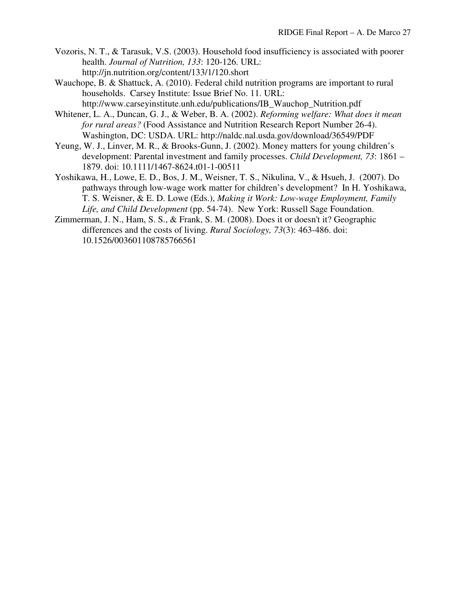- Vozoris, N. T., & Tarasuk, V.S. (2003). Household food insufficiency is associated with poorer health. *Journal of Nutrition, 133*: 120-126. URL: http://jn.nutrition.org/content/133/1/120.short
- Wauchope, B. & Shattuck, A. (2010). Federal child nutrition programs are important to rural households. Carsey Institute: Issue Brief No. 11. URL: http://www.carseyinstitute.unh.edu/publications/IB\_Wauchop\_Nutrition.pdf
- Whitener, L. A., Duncan, G. J., & Weber, B. A. (2002). *Reforming welfare: What does it mean for rural areas?* (Food Assistance and Nutrition Research Report Number 26-4). Washington, DC: USDA. URL: http://naldc.nal.usda.gov/download/36549/PDF
- Yeung, W. J., Linver, M. R., & Brooks-Gunn, J. (2002). Money matters for young children's development: Parental investment and family processes. *Child Development, 73*: 1861 – 1879. doi: 10.1111/1467-8624.t01-1-00511
- Yoshikawa, H., Lowe, E. D., Bos, J. M., Weisner, T. S., Nikulina, V., & Hsueh, J. (2007). Do pathways through low-wage work matter for children's development? In H. Yoshikawa, T. S. Weisner, & E. D. Lowe (Eds.), *Making it Work: Low-wage Employment, Family Life, and Child Development* (pp. 54-74). New York: Russell Sage Foundation.
- Zimmerman, J. N., Ham, S. S., & Frank, S. M. (2008). Does it or doesn't it? Geographic differences and the costs of living. *Rural Sociology, 73*(3): 463-486. doi: 10.1526/003601108785766561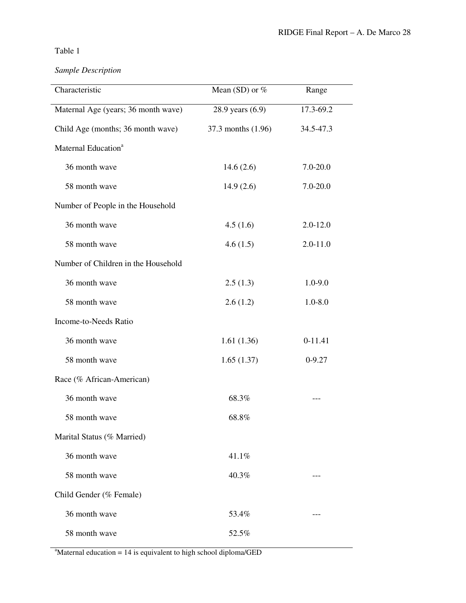## *Sample Description*

| Characteristic                      | Mean (SD) or $%$   | Range        |
|-------------------------------------|--------------------|--------------|
| Maternal Age (years; 36 month wave) | 28.9 years (6.9)   | 17.3-69.2    |
| Child Age (months; 36 month wave)   | 37.3 months (1.96) | 34.5-47.3    |
| Maternal Education <sup>a</sup>     |                    |              |
| 36 month wave                       | 14.6(2.6)          | $7.0 - 20.0$ |
| 58 month wave                       | 14.9(2.6)          | $7.0 - 20.0$ |
| Number of People in the Household   |                    |              |
| 36 month wave                       | 4.5(1.6)           | $2.0 - 12.0$ |
| 58 month wave                       | 4.6(1.5)           | $2.0 - 11.0$ |
| Number of Children in the Household |                    |              |
| 36 month wave                       | 2.5(1.3)           | $1.0 - 9.0$  |
| 58 month wave                       | 2.6(1.2)           | $1.0 - 8.0$  |
| Income-to-Needs Ratio               |                    |              |
| 36 month wave                       | 1.61(1.36)         | $0-11.41$    |
| 58 month wave                       | 1.65(1.37)         | $0 - 9.27$   |
| Race (% African-American)           |                    |              |
| 36 month wave                       | 68.3%              |              |
| 58 month wave                       | 68.8%              |              |
| Marital Status (% Married)          |                    |              |
| 36 month wave                       | 41.1%              |              |
| 58 month wave                       | 40.3%              |              |
| Child Gender (% Female)             |                    |              |
| 36 month wave                       | 53.4%              |              |
| 58 month wave                       | 52.5%              |              |

 $a<sup>a</sup>$ Maternal education = 14 is equivalent to high school diploma/GED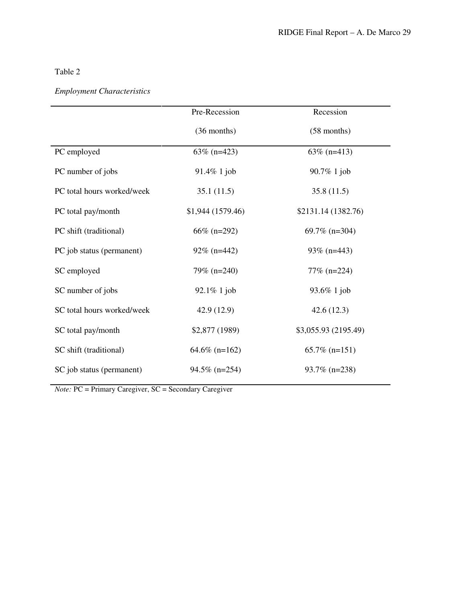# *Employment Characteristics*

|                            | Pre-Recession    | Recession            |
|----------------------------|------------------|----------------------|
|                            | $(36$ months)    | $(58$ months)        |
| PC employed                | 63% ( $n=423$ )  | 63% (n=413)          |
| PC number of jobs          | $91.4\%$ 1 job   | 90.7% 1 job          |
| PC total hours worked/week | 35.1(11.5)       | 35.8(11.5)           |
| PC total pay/month         | \$1,944(1579.46) | \$2131.14 (1382.76)  |
| PC shift (traditional)     | $66\%$ (n=292)   | 69.7% $(n=304)$      |
| PC job status (permanent)  | $92\%$ (n=442)   | 93% $(n=443)$        |
| SC employed                | 79% (n=240)      | 77% (n=224)          |
| SC number of jobs          | $92.1\%$ 1 job   | 93.6% 1 job          |
| SC total hours worked/week | 42.9(12.9)       | 42.6(12.3)           |
| SC total pay/month         | \$2,877 (1989)   | \$3,055.93 (2195.49) |
| SC shift (traditional)     | $64.6\%$ (n=162) | $65.7\%$ (n=151)     |
| SC job status (permanent)  | $94.5\%$ (n=254) | $93.7\%$ (n=238)     |

*Note:* PC = Primary Caregiver, SC = Secondary Caregiver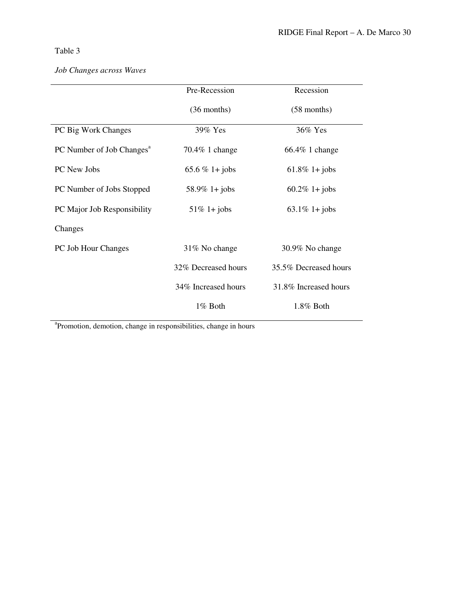| Pre-Recession       | Recession             |
|---------------------|-----------------------|
| $(36$ months)       | $(58$ months)         |
| 39% Yes             | 36% Yes               |
| 70.4% 1 change      | 66.4% 1 change        |
| 65.6 % 1+ jobs      | $61.8\%$ 1+ jobs      |
| $58.9\%$ 1+ jobs    | $60.2\%$ 1+ jobs      |
| $51\%$ 1+ jobs      | $63.1\%$ 1+ jobs      |
|                     |                       |
| 31% No change       | 30.9% No change       |
| 32% Decreased hours | 35.5% Decreased hours |
| 34% Increased hours | 31.8% Increased hours |
| 1% Both             | $1.8\%$ Both          |
|                     |                       |

## *Job Changes across Waves*

a Promotion, demotion, change in responsibilities, change in hours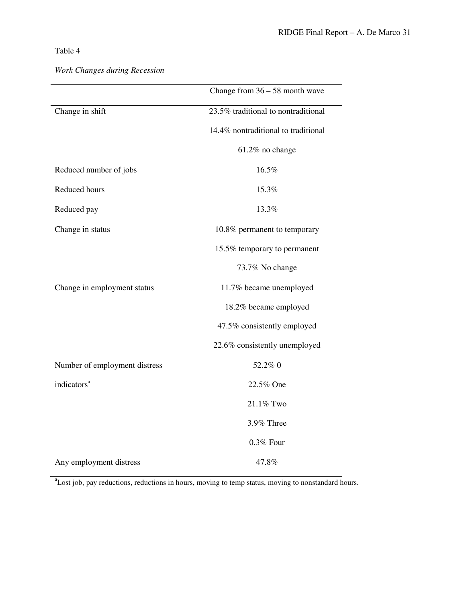| Work Changes during Recession |  |  |
|-------------------------------|--|--|
|-------------------------------|--|--|

|                               | Change from $36 - 58$ month wave    |
|-------------------------------|-------------------------------------|
| Change in shift               | 23.5% traditional to nontraditional |
|                               | 14.4% nontraditional to traditional |
|                               | 61.2% no change                     |
| Reduced number of jobs        | 16.5%                               |
| Reduced hours                 | 15.3%                               |
| Reduced pay                   | 13.3%                               |
| Change in status              | 10.8% permanent to temporary        |
|                               | 15.5% temporary to permanent        |
|                               | 73.7% No change                     |
| Change in employment status   | 11.7% became unemployed             |
|                               | 18.2% became employed               |
|                               | 47.5% consistently employed         |
|                               | 22.6% consistently unemployed       |
| Number of employment distress | 52.2% 0                             |
| indicators <sup>a</sup>       | 22.5% One                           |
|                               | 21.1% Two                           |
|                               | 3.9% Three                          |
|                               | 0.3% Four                           |
| Any employment distress       | 47.8%                               |

<sup>a</sup>Lost job, pay reductions, reductions in hours, moving to temp status, moving to nonstandard hours.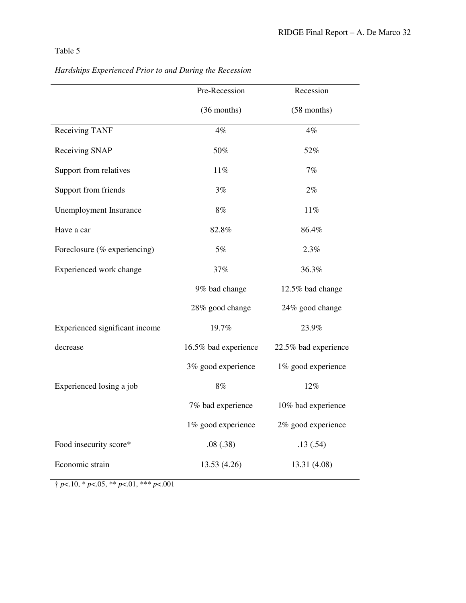|                                | Pre-Recession        | Recession            |
|--------------------------------|----------------------|----------------------|
|                                | (36 months)          | (58 months)          |
| Receiving TANF                 | $4\%$                | $4\%$                |
| Receiving SNAP                 | 50%                  | 52%                  |
| Support from relatives         | $11\%$               | 7%                   |
| Support from friends           | 3%                   | $2\%$                |
| <b>Unemployment Insurance</b>  | $8\%$                | $11\%$               |
| Have a car                     | 82.8%                | 86.4%                |
| Foreclosure (% experiencing)   | $5\%$                | 2.3%                 |
| Experienced work change        | 37%                  | 36.3%                |
|                                | 9% bad change        | 12.5% bad change     |
|                                | 28% good change      | 24% good change      |
| Experienced significant income | 19.7%                | 23.9%                |
| decrease                       | 16.5% bad experience | 22.5% bad experience |
|                                | 3% good experience   | 1% good experience   |
| Experienced losing a job       | $8\%$                | 12%                  |
|                                | 7% bad experience    | 10% bad experience   |
|                                | 1% good experience   | 2% good experience   |
| Food insecurity score*         | .08(.38)             | .13(.54)             |
| Economic strain                | 13.53 (4.26)         | 13.31 (4.08)         |

*Hardships Experienced Prior to and During the Recession* 

 $\uparrow$  *p*<.10, \* *p*<.05, \*\* *p*<.01, \*\*\* *p*<.001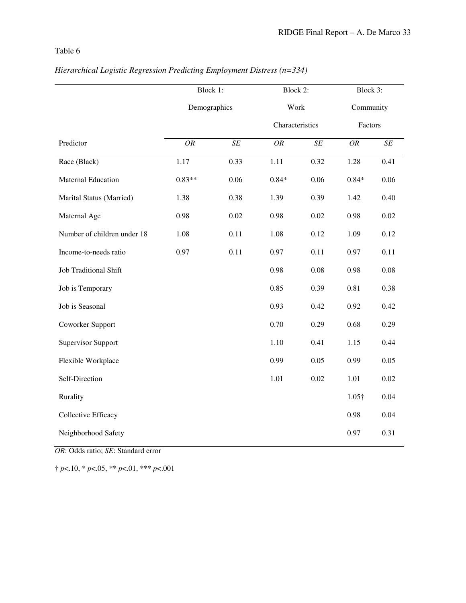|                             | Block 1:     |      | Block 2:        |           | Block 3:      |           |
|-----------------------------|--------------|------|-----------------|-----------|---------------|-----------|
|                             | Demographics |      | Work            |           | Community     |           |
|                             |              |      | Characteristics |           | Factors       |           |
| Predictor                   | OR           | SE   | <b>OR</b>       | $\cal SE$ | <b>OR</b>     | $\cal SE$ |
| Race (Black)                | 1.17         | 0.33 | 1.11            | 0.32      | 1.28          | 0.41      |
| <b>Maternal Education</b>   | $0.83**$     | 0.06 | $0.84*$         | 0.06      | $0.84*$       | 0.06      |
| Marital Status (Married)    | 1.38         | 0.38 | 1.39            | 0.39      | 1.42          | 0.40      |
| Maternal Age                | 0.98         | 0.02 | 0.98            | 0.02      | 0.98          | 0.02      |
| Number of children under 18 | 1.08         | 0.11 | 1.08            | 0.12      | 1.09          | 0.12      |
| Income-to-needs ratio       | 0.97         | 0.11 | 0.97            | 0.11      | 0.97          | 0.11      |
| Job Traditional Shift       |              |      | 0.98            | 0.08      | 0.98          | 0.08      |
| Job is Temporary            |              |      | 0.85            | 0.39      | 0.81          | 0.38      |
| Job is Seasonal             |              |      | 0.93            | 0.42      | 0.92          | 0.42      |
| Coworker Support            |              |      | 0.70            | 0.29      | 0.68          | 0.29      |
| <b>Supervisor Support</b>   |              |      | 1.10            | 0.41      | 1.15          | 0.44      |
| Flexible Workplace          |              |      | 0.99            | 0.05      | 0.99          | 0.05      |
| Self-Direction              |              |      | 1.01            | 0.02      | 1.01          | 0.02      |
| Rurality                    |              |      |                 |           | $1.05\dagger$ | 0.04      |
| Collective Efficacy         |              |      |                 |           | 0.98          | 0.04      |
| Neighborhood Safety         |              |      |                 |           | 0.97          | 0.31      |

## *Hierarchical Logistic Regression Predicting Employment Distress (n=334)*

*OR*: Odds ratio; *SE*: Standard error

† *p*<.10, \* *p*<.05, \*\* *p*<.01, \*\*\* *p*<.001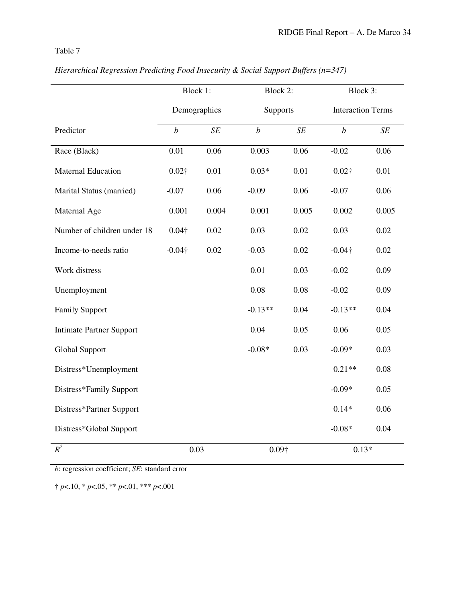|                                 | Block 1:         |       | Block 2:         |               | Block 3:                 |           |
|---------------------------------|------------------|-------|------------------|---------------|--------------------------|-----------|
|                                 | Demographics     |       | Supports         |               | <b>Interaction Terms</b> |           |
| Predictor                       | $\boldsymbol{b}$ | SE    | $\boldsymbol{b}$ | $\cal SE$     | $\boldsymbol{b}$         | $\cal SE$ |
| Race (Black)                    | 0.01             | 0.06  | 0.003            | 0.06          | $-0.02$                  | 0.06      |
| <b>Maternal Education</b>       | $0.02\dagger$    | 0.01  | $0.03*$          | 0.01          | $0.02\dagger$            | 0.01      |
| Marital Status (married)        | $-0.07$          | 0.06  | $-0.09$          | 0.06          | $-0.07$                  | 0.06      |
| Maternal Age                    | 0.001            | 0.004 | 0.001            | 0.005         | 0.002                    | 0.005     |
| Number of children under 18     | $0.04\dagger$    | 0.02  | 0.03             | 0.02          | 0.03                     | 0.02      |
| Income-to-needs ratio           | $-0.04\dagger$   | 0.02  | $-0.03$          | 0.02          | $-0.04\dagger$           | 0.02      |
| Work distress                   |                  |       | 0.01             | 0.03          | $-0.02$                  | 0.09      |
| Unemployment                    |                  |       | 0.08             | 0.08          | $-0.02$                  | 0.09      |
| <b>Family Support</b>           |                  |       | $-0.13**$        | 0.04          | $-0.13**$                | 0.04      |
| <b>Intimate Partner Support</b> |                  |       | 0.04             | 0.05          | 0.06                     | 0.05      |
| <b>Global Support</b>           |                  |       | $-0.08*$         | 0.03          | $-0.09*$                 | 0.03      |
| Distress*Unemployment           |                  |       |                  |               | $0.21**$                 | 0.08      |
| Distress*Family Support         |                  |       |                  |               | $-0.09*$                 | 0.05      |
| Distress*Partner Support        |                  |       |                  |               | $0.14*$                  | 0.06      |
| Distress*Global Support         |                  |       |                  |               | $-0.08*$                 | 0.04      |
| $R^2$                           | 0.03             |       |                  | $0.09\dagger$ |                          | $0.13*$   |

*Hierarchical Regression Predicting Food Insecurity & Social Support Buffers (n=347)* 

*b*: regression coefficient; *SE*: standard error

† *p*<.10, \* *p*<.05, \*\* *p*<.01, \*\*\* *p*<.001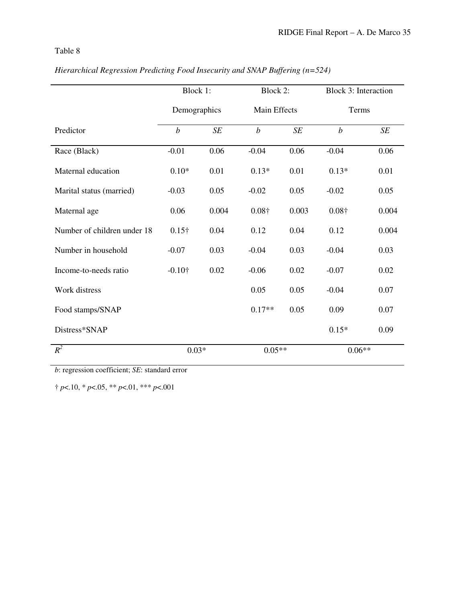|                             | Block 1:                            |       | Block 2:         |           | <b>Block 3: Interaction</b> |           |
|-----------------------------|-------------------------------------|-------|------------------|-----------|-----------------------------|-----------|
|                             | Demographics<br><b>Main Effects</b> |       | Terms            |           |                             |           |
| Predictor                   | $\boldsymbol{b}$                    | SE    | $\boldsymbol{b}$ | $\cal SE$ | $\boldsymbol{b}$            | $\cal SE$ |
| Race (Black)                | $-0.01$                             | 0.06  | $-0.04$          | 0.06      | $-0.04$                     | 0.06      |
| Maternal education          | $0.10*$                             | 0.01  | $0.13*$          | 0.01      | $0.13*$                     | 0.01      |
| Marital status (married)    | $-0.03$                             | 0.05  | $-0.02$          | 0.05      | $-0.02$                     | 0.05      |
| Maternal age                | 0.06                                | 0.004 | $0.08\dagger$    | 0.003     | $0.08\dagger$               | 0.004     |
| Number of children under 18 | $0.15\dagger$                       | 0.04  | 0.12             | 0.04      | 0.12                        | 0.004     |
| Number in household         | $-0.07$                             | 0.03  | $-0.04$          | 0.03      | $-0.04$                     | 0.03      |
| Income-to-needs ratio       | $-0.10\dagger$                      | 0.02  | $-0.06$          | 0.02      | $-0.07$                     | 0.02      |
| Work distress               |                                     |       | 0.05             | 0.05      | $-0.04$                     | 0.07      |
| Food stamps/SNAP            |                                     |       | $0.17**$         | 0.05      | 0.09                        | 0.07      |
| Distress*SNAP               |                                     |       |                  |           | $0.15*$                     | 0.09      |
| $R^2$                       | $0.03*$                             |       | $0.05**$         |           | $0.06**$                    |           |

*Hierarchical Regression Predicting Food Insecurity and SNAP Buffering (n=524)* 

*b*: regression coefficient; *SE*: standard error

† *p*<.10, \* *p*<.05, \*\* *p*<.01, \*\*\* *p*<.001